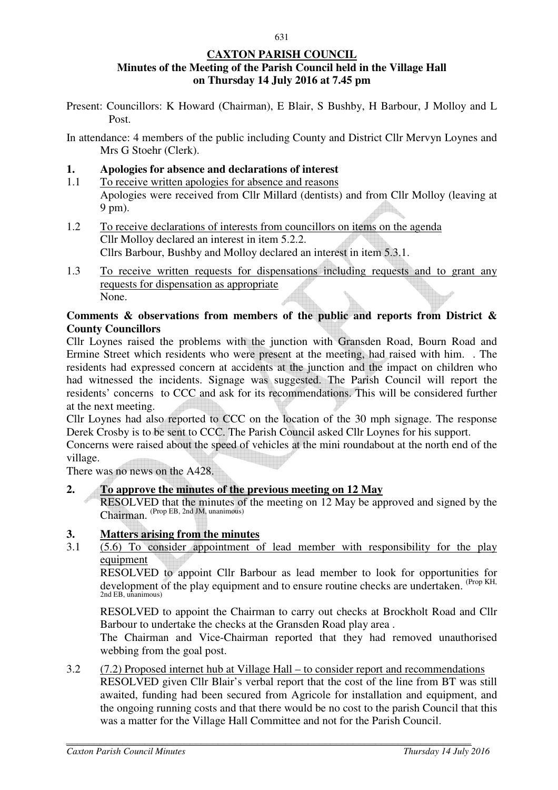#### **CAXTON PARISH COUNCIL Minutes of the Meeting of the Parish Council held in the Village Hall on Thursday 14 July 2016 at 7.45 pm**

Present: Councillors: K Howard (Chairman), E Blair, S Bushby, H Barbour, J Molloy and L Post.

In attendance: 4 members of the public including County and District Cllr Mervyn Loynes and Mrs G Stoehr (Clerk).

#### **1. Apologies for absence and declarations of interest**

- 1.1 To receive written apologies for absence and reasons Apologies were received from Cllr Millard (dentists) and from Cllr Molloy (leaving at 9 pm).
- 1.2 To receive declarations of interests from councillors on items on the agenda Cllr Molloy declared an interest in item 5.2.2. Cllrs Barbour, Bushby and Molloy declared an interest in item 5.3.1.
- 1.3 To receive written requests for dispensations including requests and to grant any requests for dispensation as appropriate None.

#### **Comments & observations from members of the public and reports from District & County Councillors**

Cllr Loynes raised the problems with the junction with Gransden Road, Bourn Road and Ermine Street which residents who were present at the meeting, had raised with him. . The residents had expressed concern at accidents at the junction and the impact on children who had witnessed the incidents. Signage was suggested. The Parish Council will report the residents' concerns to CCC and ask for its recommendations. This will be considered further at the next meeting.

Cllr Loynes had also reported to CCC on the location of the 30 mph signage. The response Derek Crosby is to be sent to CCC. The Parish Council asked Cllr Loynes for his support.

Concerns were raised about the speed of vehicles at the mini roundabout at the north end of the village.

There was no news on the A428.

**2. To approve the minutes of the previous meeting on 12 May** 

 RESOLVED that the minutes of the meeting on 12 May be approved and signed by the Chairman. (Prop EB, 2nd JM, unanimous)

#### **3. Matters arising from the minutes**

3.1 (5.6) To consider appointment of lead member with responsibility for the play equipment

 RESOLVED to appoint Cllr Barbour as lead member to look for opportunities for development of the play equipment and to ensure routine checks are undertaken. (Prop KH, 2nd EB, unanimous)

RESOLVED to appoint the Chairman to carry out checks at Brockholt Road and Cllr Barbour to undertake the checks at the Gransden Road play area .

The Chairman and Vice-Chairman reported that they had removed unauthorised webbing from the goal post.

3.2 (7.2) Proposed internet hub at Village Hall – to consider report and recommendations RESOLVED given Cllr Blair's verbal report that the cost of the line from BT was still awaited, funding had been secured from Agricole for installation and equipment, and the ongoing running costs and that there would be no cost to the parish Council that this was a matter for the Village Hall Committee and not for the Parish Council.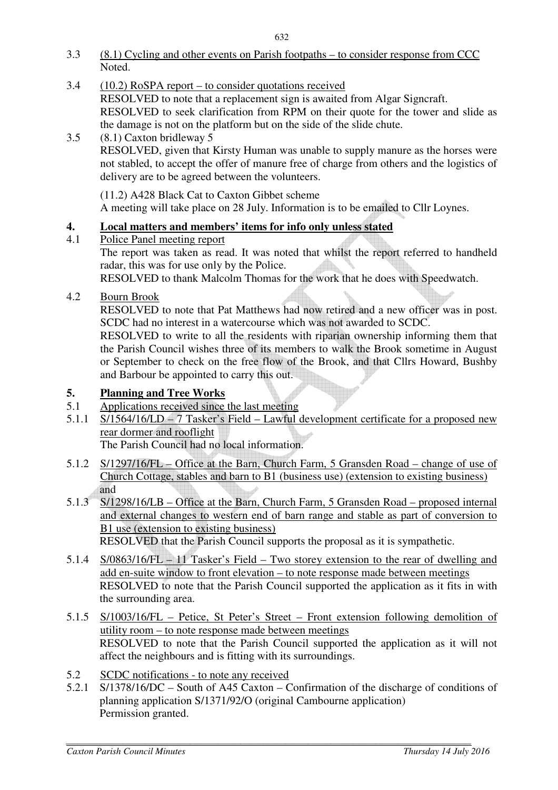- 3.3 (8.1) Cycling and other events on Parish footpaths to consider response from CCC Noted.
- 3.4 (10.2) RoSPA report to consider quotations received RESOLVED to note that a replacement sign is awaited from Algar Signcraft. RESOLVED to seek clarification from RPM on their quote for the tower and slide as
- the damage is not on the platform but on the side of the slide chute. 3.5 (8.1) Caxton bridleway 5 RESOLVED, given that Kirsty Human was unable to supply manure as the horses were not stabled, to accept the offer of manure free of charge from others and the logistics of delivery are to be agreed between the volunteers.

(11.2) A428 Black Cat to Caxton Gibbet scheme A meeting will take place on 28 July. Information is to be emailed to Cllr Loynes.

# **4. Local matters and members' items for info only unless stated**

## 4.1 Police Panel meeting report

The report was taken as read. It was noted that whilst the report referred to handheld radar, this was for use only by the Police.

RESOLVED to thank Malcolm Thomas for the work that he does with Speedwatch.

# 4.2 Bourn Brook

RESOLVED to note that Pat Matthews had now retired and a new officer was in post. SCDC had no interest in a watercourse which was not awarded to SCDC.

RESOLVED to write to all the residents with riparian ownership informing them that the Parish Council wishes three of its members to walk the Brook sometime in August or September to check on the free flow of the Brook, and that Cllrs Howard, Bushby and Barbour be appointed to carry this out.

## **5. Planning and Tree Works**

- 5.1 Applications received since the last meeting
- 5.1.1 S/1564/16/LD 7 Tasker's Field Lawful development certificate for a proposed new rear dormer and rooflight

The Parish Council had no local information.

- 5.1.2 S/1297/16/FL Office at the Barn, Church Farm, 5 Gransden Road change of use of Church Cottage, stables and barn to B1 (business use) (extension to existing business)
- $5.1.3$   $\frac{and}{S/12}$ S/1298/16/LB – Office at the Barn, Church Farm, 5 Gransden Road – proposed internal and external changes to western end of barn range and stable as part of conversion to B1 use (extension to existing business) RESOLVED that the Parish Council supports the proposal as it is sympathetic.
- 5.1.4 S/0863/16/FL 11 Tasker's Field Two storey extension to the rear of dwelling and add en-suite window to front elevation – to note response made between meetings RESOLVED to note that the Parish Council supported the application as it fits in with the surrounding area.
- 5.1.5 S/1003/16/FL Petice, St Peter's Street Front extension following demolition of utility room – to note response made between meetings RESOLVED to note that the Parish Council supported the application as it will not affect the neighbours and is fitting with its surroundings.
- 5.2 SCDC notifications to note any received
- 5.2.1 S/1378/16/DC South of A45 Caxton Confirmation of the discharge of conditions of planning application S/1371/92/O (original Cambourne application) Permission granted.